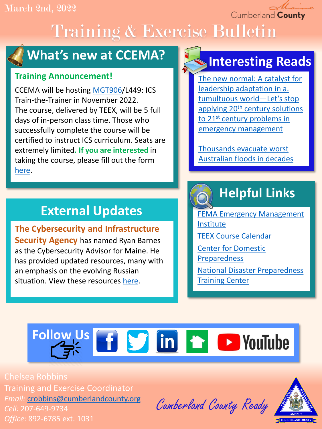#### March 2nd, 2022

Cumberland County

# Training & Exercise Bulletin



## **What's new at CCEMA?**

#### **Training Announcement!**

CCEMA will be hosting [MGT906/](https://docs.google.com/document/d/1t2XNuZyKYdBy-CvpGZlqOoCOh31wEnA4blzWcP3mVlg/edit?usp=sharing)L449: ICS Train-the-Trainer in November 2022. The course, delivered by TEEX, will be 5 full days of in-person class time. Those who successfully complete the course will be certified to instruct ICS curriculum. Seats are extremely limited**. If you are interested** in taking the course, please fill out the form [here.](https://docs.google.com/forms/d/e/1FAIpQLSd4NTAq2qlsgYNQfAts1yFW6QJaJFktaQLDBOHpF6JH6CCLsA/viewform?usp=sf_link)

## **External Updates**

**The Cybersecurity and Infrastructure Security Agency** has named Ryan Barnes as the Cybersecurity Advisor for Maine. He has provided updated resources, many with an emphasis on the evolving Russian situation. View these resources [here.](https://docs.google.com/document/d/1Rmz0GigrA0a14MDtwutXVlKZpPpgZPiBI76gFkdNow4/edit?usp=sharing)

## **Interesting Reads**

[The new normal: A catalyst for](https://drive.google.com/file/d/1RDSCC09aYUhJNRtf8hwjqeyHlYOe00cZ/view?usp=sharing)  leadership adaptation in a. tumultuous world—Let's stop applying 20<sup>th</sup> century solutions to 21<sup>st</sup> century problems in emergency management

Thousands evacuate worst [Australian floods in decades](https://www.npr.org/2022/03/01/1083659633/thousands-evacuate-worst-australian-floods-in-decades)

# **Helpful Links**

[FEMA Emergency Management](https://training.fema.gov/is/) Institute [TEEX Course Calendar](https://teex.org/course-calendar/) [Center for Domestic](https://cdp.dhs.gov/)  Preparedness [National Disaster Preparedness](https://ndptc.hawaii.edu/training/)  Training Center

# **Follow Us & F S in T P YouTube**

Chelsea Robbins Training and Exercise Coordinator *Email:* [crobbins@cumberlandcounty.org](mailto:crobbins@cumberlandcounty.org) *Cell:* 207-649-9734 *Office:* 892-6785 ext. 1031

Cumberland County Ready